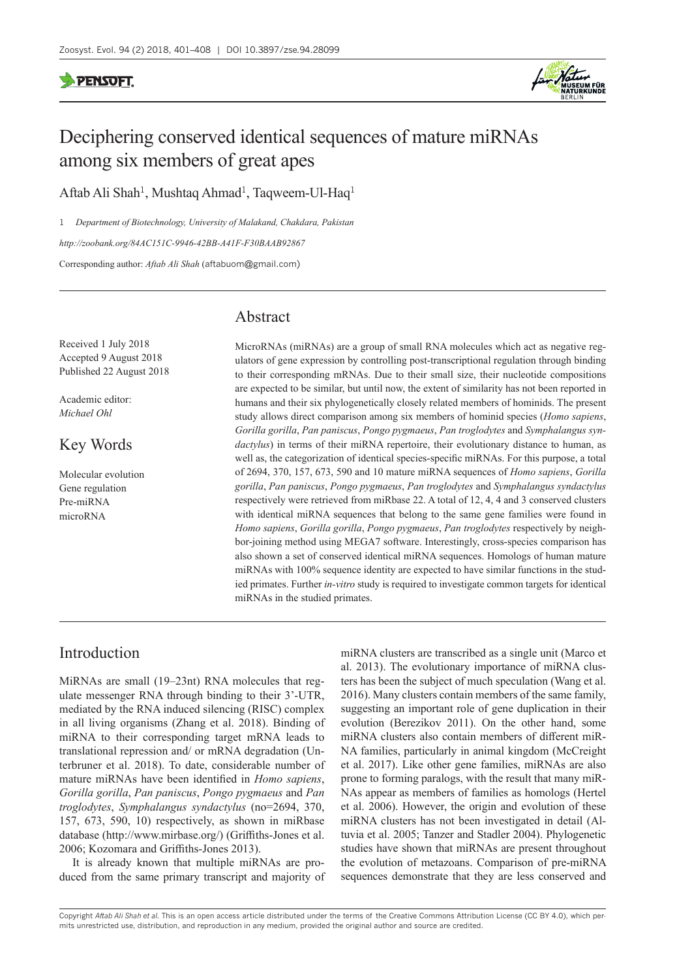

# Deciphering conserved identical sequences of mature miRNAs among six members of great apes

Aftab Ali Shah<sup>1</sup>, Mushtaq Ahmad<sup>1</sup>, Taqweem-Ul-Haq<sup>1</sup>

1 *Department of Biotechnology, University of Malakand, Chakdara, Pakistan <http://zoobank.org/84AC151C-9946-42BB-A41F-F30BAAB92867>* Corresponding author: *Aftab Ali Shah* ([aftabuom@gmail.com](mailto:aftabuom@gmail.com))

# Abstract

Received 1 July 2018 Accepted 9 August 2018 Published 22 August 2018

Academic editor: *Michael Ohl*

# Key Words

Molecular evolution Gene regulation Pre-miRNA microRNA

MicroRNAs (miRNAs) are a group of small RNA molecules which act as negative regulators of gene expression by controlling post-transcriptional regulation through binding to their corresponding mRNAs. Due to their small size, their nucleotide compositions are expected to be similar, but until now, the extent of similarity has not been reported in humans and their six phylogenetically closely related members of hominids. The present study allows direct comparison among six members of hominid species (*Homo sapiens*, *Gorilla gorilla*, *Pan paniscus*, *Pongo pygmaeus*, *Pan troglodytes* and *Symphalangus syndactylus*) in terms of their miRNA repertoire, their evolutionary distance to human, as well as, the categorization of identical species-specific miRNAs. For this purpose, a total of 2694, 370, 157, 673, 590 and 10 mature miRNA sequences of *Homo sapiens*, *Gorilla gorilla*, *Pan paniscus*, *Pongo pygmaeus*, *Pan troglodytes* and *Symphalangus syndactylus* respectively were retrieved from miRbase 22. A total of 12, 4, 4 and 3 conserved clusters with identical miRNA sequences that belong to the same gene families were found in *Homo sapiens*, *Gorilla gorilla*, *Pongo pygmaeus*, *Pan troglodytes* respectively by neighbor-joining method using MEGA7 software. Interestingly, cross-species comparison has also shown a set of conserved identical miRNA sequences. Homologs of human mature miRNAs with 100% sequence identity are expected to have similar functions in the studied primates. Further *in-vitro* study is required to investigate common targets for identical miRNAs in the studied primates.

# Introduction

MiRNAs are small (19–23nt) RNA molecules that regulate messenger RNA through binding to their 3'-UTR, mediated by the RNA induced silencing (RISC) complex in all living organisms (Zhang et al. 2018). Binding of miRNA to their corresponding target mRNA leads to translational repression and/ or mRNA degradation (Unterbruner et al. 2018). To date, considerable number of mature miRNAs have been identified in *Homo sapiens*, *Gorilla gorilla*, *Pan paniscus*, *Pongo pygmaeus* and *Pan troglodytes*, *Symphalangus syndactylus* (no=2694, 370, 157, 673, 590, 10) respectively, as shown in miRbase database [\(http://www.mirbase.org/](http://www.mirbase.org/)) (Griffiths-Jones et al. 2006; Kozomara and Griffiths-Jones 2013).

It is already known that multiple miRNAs are produced from the same primary transcript and majority of miRNA clusters are transcribed as a single unit (Marco et al. 2013). The evolutionary importance of miRNA clusters has been the subject of much speculation (Wang et al. 2016). Many clusters contain members of the same family, suggesting an important role of gene duplication in their evolution (Berezikov 2011). On the other hand, some miRNA clusters also contain members of different miR-NA families, particularly in animal kingdom (McCreight et al. 2017). Like other gene families, miRNAs are also prone to forming paralogs, with the result that many miR-NAs appear as members of families as homologs (Hertel et al. 2006). However, the origin and evolution of these miRNA clusters has not been investigated in detail (Altuvia et al. 2005; Tanzer and Stadler 2004). Phylogenetic studies have shown that miRNAs are present throughout the evolution of metazoans. Comparison of pre-miRNA sequences demonstrate that they are less conserved and

Copyright *Aftab Ali Shah et al.* This is an open access article distributed under the terms of the [Creative Commons Attribution License \(CC BY 4.0\),](http://creativecommons.org/licenses/by/4.0/) which permits unrestricted use, distribution, and reproduction in any medium, provided the original author and source are credited.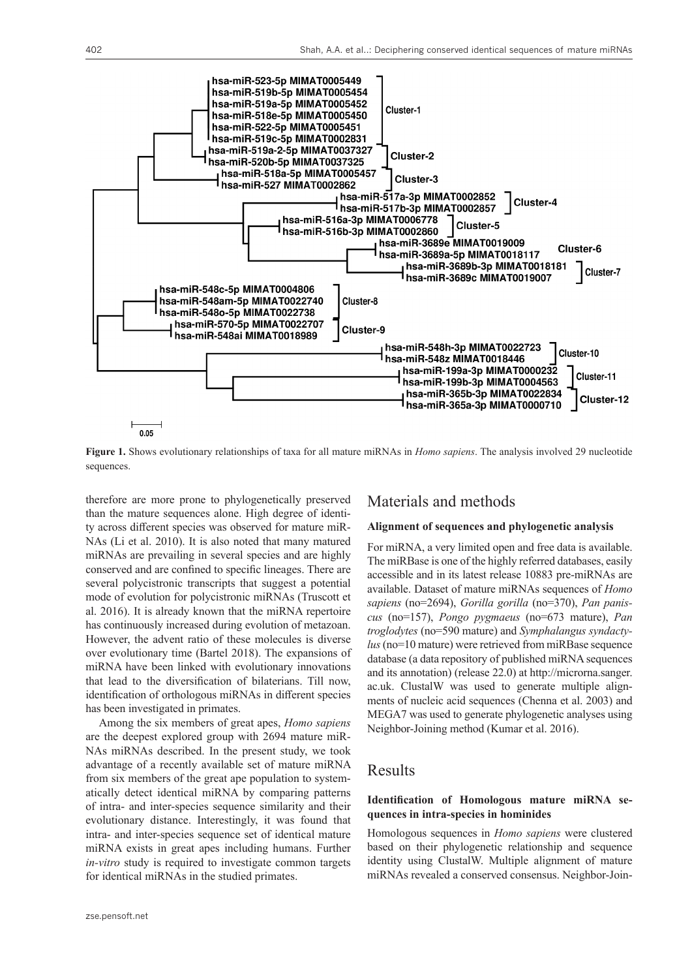

**Figure 1.** Shows evolutionary relationships of taxa for all mature miRNAs in *Homo sapiens*. The analysis involved 29 nucleotide sequences.

therefore are more prone to phylogenetically preserved than the mature sequences alone. High degree of identity across different species was observed for mature miR-NAs (Li et al. 2010). It is also noted that many matured miRNAs are prevailing in several species and are highly conserved and are confined to specific lineages. There are several polycistronic transcripts that suggest a potential mode of evolution for polycistronic miRNAs (Truscott et al. 2016). It is already known that the miRNA repertoire has continuously increased during evolution of metazoan. However, the advent ratio of these molecules is diverse over evolutionary time (Bartel 2018). The expansions of miRNA have been linked with evolutionary innovations that lead to the diversification of bilaterians. Till now, identification of orthologous miRNAs in different species has been investigated in primates.

Among the six members of great apes, *Homo sapiens* are the deepest explored group with 2694 mature miR-NAs miRNAs described. In the present study, we took advantage of a recently available set of mature miRNA from six members of the great ape population to systematically detect identical miRNA by comparing patterns of intra- and inter-species sequence similarity and their evolutionary distance. Interestingly, it was found that intra- and inter-species sequence set of identical mature miRNA exists in great apes including humans. Further *in-vitro* study is required to investigate common targets for identical miRNAs in the studied primates.

### Materials and methods

#### **Alignment of sequences and phylogenetic analysis**

For miRNA, a very limited open and free data is available. The miRBase is one of the highly referred databases, easily accessible and in its latest release 10883 pre-miRNAs are available. Dataset of mature miRNAs sequences of *Homo sapiens* (no=2694), *Gorilla gorilla* (no=370), *Pan paniscus* (no=157), *Pongo pygmaeus* (no=673 mature), *Pan troglodytes* (no=590 mature) and *Symphalangus syndactylus* (no=10 mature) were retrieved from miRBase sequence database (a data repository of published miRNA sequences and its annotation) (release 22.0) at [http://microrna.sanger.](http://microrna.sanger.ac.uk) [ac.uk.](http://microrna.sanger.ac.uk) ClustalW was used to generate multiple alignments of nucleic acid sequences (Chenna et al. 2003) and MEGA7 was used to generate phylogenetic analyses using Neighbor-Joining method (Kumar et al. 2016).

## Results

#### **Identification of Homologous mature miRNA sequences in intra-species in hominides**

Homologous sequences in *Homo sapiens* were clustered based on their phylogenetic relationship and sequence identity using ClustalW. Multiple alignment of mature miRNAs revealed a conserved consensus. Neighbor-Join-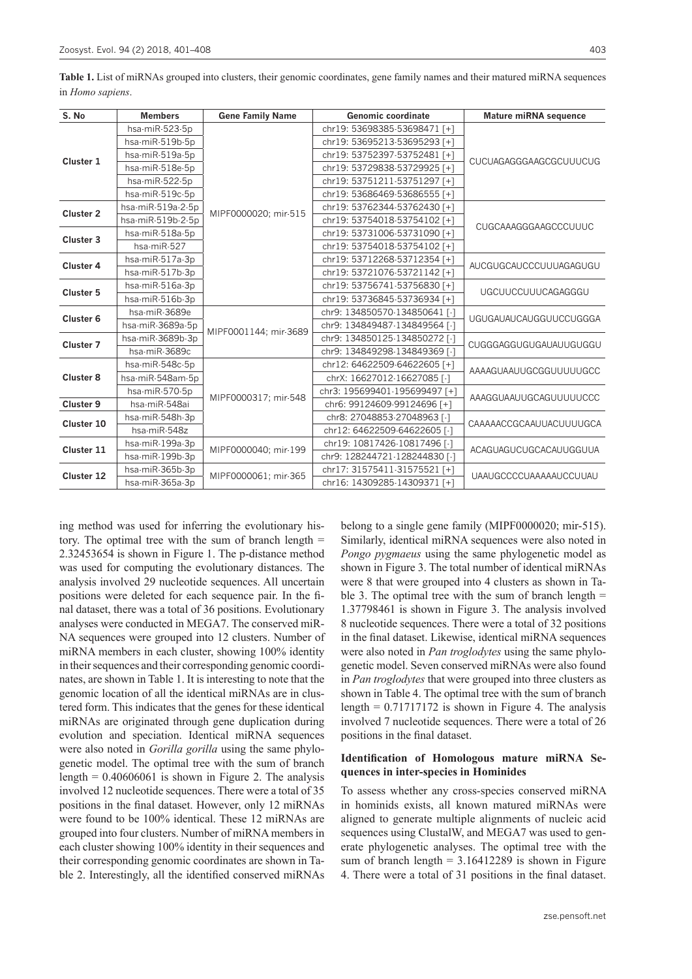403

| S. No                | <b>Members</b>    | <b>Gene Family Name</b> | Genomic coordinate            | Mature miRNA sequence         |
|----------------------|-------------------|-------------------------|-------------------------------|-------------------------------|
|                      | hsa-miR-523-5p    |                         | chr19: 53698385-53698471 [+]  |                               |
|                      | hsa-miR-519b-5p   |                         | chr19: 53695213-53695293 [+]  |                               |
| Cluster 1            | hsa-miR-519a-5p   |                         | chr19: 53752397-53752481 [+]  | <b>CUCUAGAGGGAAGCGCUUUCUG</b> |
|                      | hsa-miR-518e-5p   |                         | chr19: 53729838-53729925 [+]  |                               |
|                      | hsa-miR-522-5p    |                         | chr19: 53751211-53751297 [+]  |                               |
|                      | hsa-miR-519c-5p   |                         | chr19: 53686469-53686555 [+]  |                               |
| Cluster <sub>2</sub> | hsa-miR-519a-2-5p |                         | chr19: 53762344-53762430 [+]  | <b>CUGCAAAGGGAAGCCCUUUC</b>   |
|                      | hsa-miR-519b-2-5p | MIPF0000020; mir-515    | chr19: 53754018-53754102 [+]  |                               |
| Cluster 3            | hsa-miR-518a-5p   |                         | chr19: 53731006-53731090 [+]  |                               |
|                      | hsa-miR-527       |                         | chr19: 53754018-53754102 [+]  |                               |
| Cluster 4            | hsa-miR-517a-3p   |                         | chr19: 53712268-53712354 [+]  | AUCGUGCAUCCCUUUAGAGUGU        |
|                      | hsa-miR-517b-3p   |                         | chr19: 53721076-53721142 [+]  |                               |
| Cluster 5            | hsa-miR-516a-3p   |                         | chr19: 53756741-53756830 [+]  | <b>UGCUUCCUUUCAGAGGGU</b>     |
|                      | hsa-miR-516b-3p   |                         | chr19: 53736845-53736934 [+]  |                               |
| Cluster <sub>6</sub> | hsa-miR-3689e     | MIPF0001144; mir-3689   | chr9: 134850570-134850641 [-] | <b>UGUGAUAUCAUGGUUCCUGGGA</b> |
|                      | hsa-miR-3689a-5p  |                         | chr9: 134849487-134849564 [-] |                               |
| Cluster <sub>7</sub> | hsa-miR-3689b-3p  |                         | chr9: 134850125-134850272 [-] | CUGGGAGGUGUGAUAUUGUGGU        |
|                      | hsa-miR-3689c     |                         | chr9: 134849298-134849369 [-] |                               |
|                      | hsa-miR-548c-5p   | MIPF0000317; mir-548    | chr12: 64622509-64622605 [+]  | AAAAGUAAUUGCGGUUUUUGCC        |
| Cluster 8            | hsa-miR-548am-5p  |                         | chrX: 16627012-16627085 [-]   |                               |
|                      | hsa-miR-570-5p    |                         | chr3: 195699401-195699497 [+] | AAAGGUAAUUGCAGUUUUUCCC        |
| Cluster 9            | hsa-miR-548ai     |                         | chr6: 99124609-99124696 [+]   |                               |
| Cluster 10           | hsa-miR-548h-3p   |                         | chr8: 27048853-27048963 [-]   | CAAAAACCGCAAUUACUUUUGCA       |
|                      | hsa-miR-548z      |                         | chr12: 64622509-64622605 [-]  |                               |
| Cluster 11           | hsa-miR-199a-3p   | MIPF0000040; mir-199    | chr19: 10817426-10817496 [-]  | ACAGUAGUCUGCACAUUGGUUA        |
|                      | hsa-miR-199b-3p   |                         | chr9: 128244721-128244830 [-] |                               |
| Cluster 12           | hsa-miR-365b-3p   | MIPF0000061; mir-365    | chr17: 31575411-31575521 [+]  | <b>UAAUGCCCCUAAAAAUCCUUAU</b> |
|                      | hsa-miR-365a-3p   |                         | chr16: 14309285-14309371 [+]  |                               |

**Table 1.** List of miRNAs grouped into clusters, their genomic coordinates, gene family names and their matured miRNA sequences in *Homo sapiens*.

ing method was used for inferring the evolutionary history. The optimal tree with the sum of branch length = 2.32453654 is shown in Figure 1. The p-distance method was used for computing the evolutionary distances. The analysis involved 29 nucleotide sequences. All uncertain positions were deleted for each sequence pair. In the final dataset, there was a total of 36 positions. Evolutionary analyses were conducted in MEGA7. The conserved miR-NA sequences were grouped into 12 clusters. Number of miRNA members in each cluster, showing 100% identity in their sequences and their corresponding genomic coordinates, are shown in Table 1. It is interesting to note that the genomic location of all the identical miRNAs are in clustered form. This indicates that the genes for these identical miRNAs are originated through gene duplication during evolution and speciation. Identical miRNA sequences were also noted in *Gorilla gorilla* using the same phylogenetic model. The optimal tree with the sum of branch length =  $0.40606061$  is shown in Figure 2. The analysis involved 12 nucleotide sequences. There were a total of 35 positions in the final dataset. However, only 12 miRNAs were found to be 100% identical. These 12 miRNAs are grouped into four clusters. Number of miRNA members in each cluster showing 100% identity in their sequences and their corresponding genomic coordinates are shown in Table 2. Interestingly, all the identified conserved miRNAs

belong to a single gene family (MIPF0000020; mir-515). Similarly, identical miRNA sequences were also noted in *Pongo pygmaeus* using the same phylogenetic model as shown in Figure 3. The total number of identical miRNAs were 8 that were grouped into 4 clusters as shown in Table 3. The optimal tree with the sum of branch length  $=$ 1.37798461 is shown in Figure 3. The analysis involved 8 nucleotide sequences. There were a total of 32 positions in the final dataset. Likewise, identical miRNA sequences were also noted in *Pan troglodytes* using the same phylogenetic model. Seven conserved miRNAs were also found in *Pan troglodytes* that were grouped into three clusters as shown in Table 4. The optimal tree with the sum of branch length  $= 0.71717172$  is shown in Figure 4. The analysis involved 7 nucleotide sequences. There were a total of 26 positions in the final dataset.

#### **Identification of Homologous mature miRNA Sequences in inter-species in Hominides**

To assess whether any cross-species conserved miRNA in hominids exists, all known matured miRNAs were aligned to generate multiple alignments of nucleic acid sequences using ClustalW, and MEGA7 was used to generate phylogenetic analyses. The optimal tree with the sum of branch length  $= 3.16412289$  is shown in Figure 4. There were a total of 31 positions in the final dataset.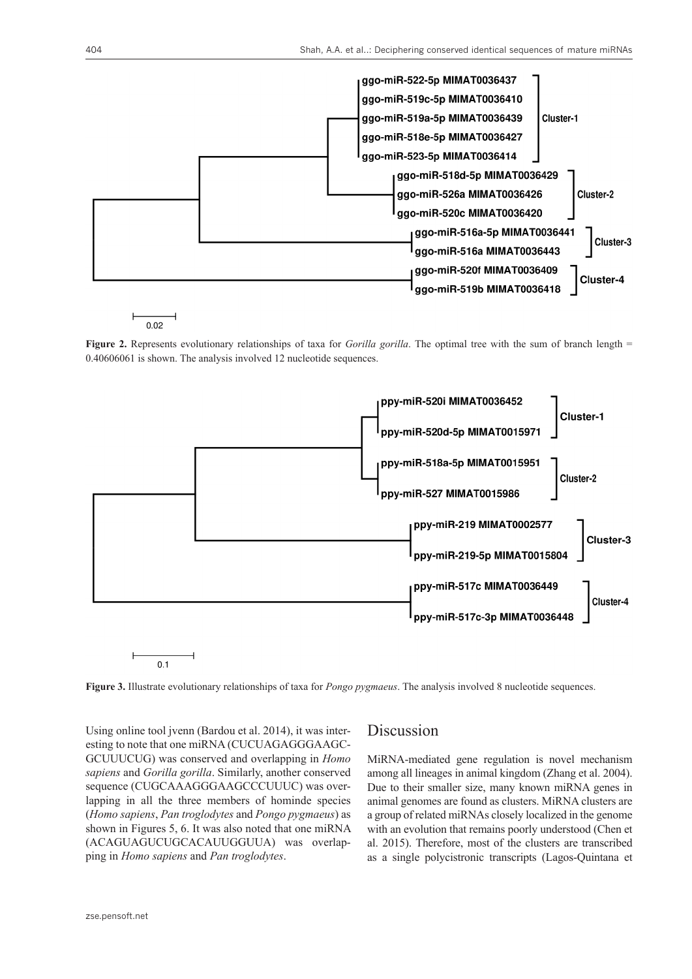

 $0.02$ 

**Figure 2.** Represents evolutionary relationships of taxa for *Gorilla gorilla*. The optimal tree with the sum of branch length = 0.40606061 is shown. The analysis involved 12 nucleotide sequences.



**Figure 3.** Illustrate evolutionary relationships of taxa for *Pongo pygmaeus*. The analysis involved 8 nucleotide sequences.

Using online tool jvenn (Bardou et al. 2014), it was interesting to note that one miRNA (CUCUAGAGGGAAGC-GCUUUCUG) was conserved and overlapping in *Homo sapiens* and *Gorilla gorilla*. Similarly, another conserved sequence (CUGCAAAGGGAAGCCCUUUC) was overlapping in all the three members of hominde species (*Homo sapiens*, *Pan troglodytes* and *Pongo pygmaeus*) as shown in Figures 5, 6. It was also noted that one miRNA (ACAGUAGUCUGCACAUUGGUUA) was overlapping in *Homo sapiens* and *Pan troglodytes*.

## Discussion

MiRNA-mediated gene regulation is novel mechanism among all lineages in animal kingdom (Zhang et al. 2004). Due to their smaller size, many known miRNA genes in animal genomes are found as clusters. MiRNA clusters are a group of related miRNAs closely localized in the genome with an evolution that remains poorly understood (Chen et al. 2015). Therefore, most of the clusters are transcribed as a single polycistronic transcripts (Lagos-Quintana et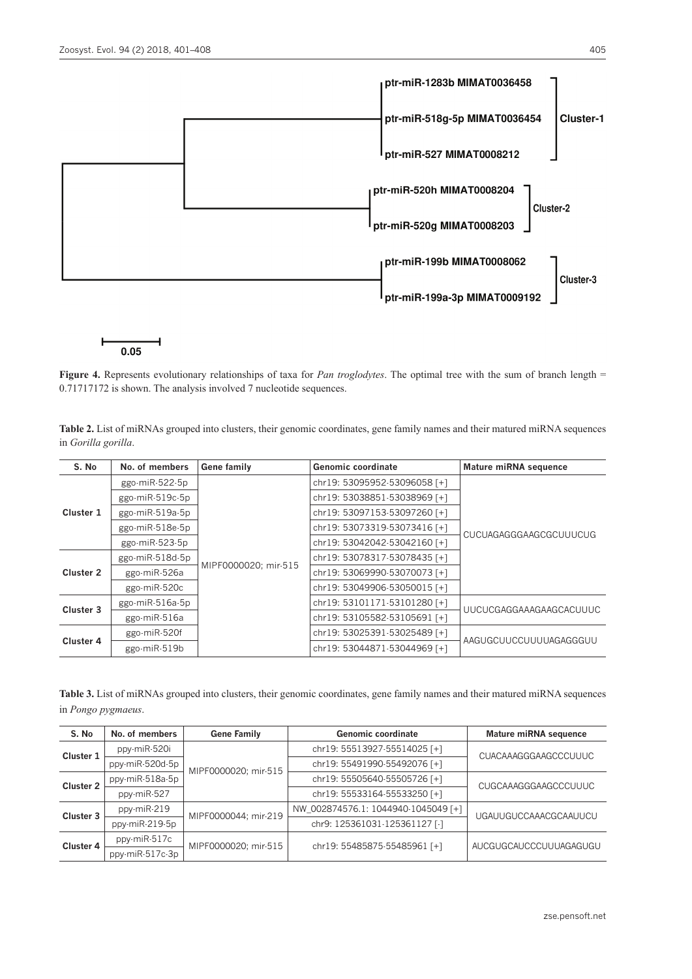

 $0.05$ 

**Figure 4.** Represents evolutionary relationships of taxa for *Pan troglodytes*. The optimal tree with the sum of branch length = 0.71717172 is shown. The analysis involved 7 nucleotide sequences.

**Table 2.** List of miRNAs grouped into clusters, their genomic coordinates, gene family names and their matured miRNA sequences in *Gorilla gorilla*.

| S. No     | No. of members    | <b>Gene family</b>   | Genomic coordinate           | <b>Mature miRNA sequence</b>  |
|-----------|-------------------|----------------------|------------------------------|-------------------------------|
| Cluster 1 | ggo-miR-522-5p    | MIPF0000020; mir-515 | chr19: 53095952-53096058 [+] | <b>CUCUAGAGGGAAGCGCUUUCUG</b> |
|           | ggo-miR-519c-5p   |                      | chr19: 53038851-53038969 [+] |                               |
|           | ggo-miR-519a-5p   |                      | chr19: 53097153-53097260 [+] |                               |
|           | ggo-miR-518e-5p   |                      | chr19: 53073319-53073416 [+] |                               |
|           | $ggo-miR-523-5p$  |                      | chr19: 53042042-53042160 [+] |                               |
| Cluster 2 | $ggo-miR-518d-5p$ |                      | chr19: 53078317-53078435 [+] |                               |
|           | ggo-miR-526a      |                      | chr19: 53069990-53070073 [+] |                               |
|           | ggo-miR-520c      |                      | chr19: 53049906-53050015 [+] |                               |
| Cluster 3 | ggo-miR-516a-5p   |                      | chr19: 53101171-53101280 [+] | UUCUCGAGGAAAGAAGCACUUUC       |
|           | ggo-miR-516a      |                      | chr19: 53105582-53105691 [+] |                               |
| Cluster 4 | ggo-miR-520f      |                      | chr19: 53025391-53025489 [+] | AAGUGCUUCCUUUUAGAGGGUU        |
|           | ggo-miR-519b      |                      | chr19: 53044871-53044969 [+] |                               |

**Table 3.** List of miRNAs grouped into clusters, their genomic coordinates, gene family names and their matured miRNA sequences in *Pongo pygmaeus*.

| S. No     | No. of members  | <b>Gene Family</b>   | <b>Genomic coordinate</b>           | <b>Mature miRNA sequence</b> |
|-----------|-----------------|----------------------|-------------------------------------|------------------------------|
| Cluster 1 | ppy-miR-520i    | MIPF0000020; mir-515 | chr19: 55513927-55514025 [+]        | <b>CUACAAAGGGAAGCCCUUUC</b>  |
|           | ppy-miR-520d-5p |                      | chr19: 55491990-55492076 [+]        |                              |
| Cluster 2 | ppy-miR-518a-5p |                      | chr19: 55505640-55505726 [+]        | CUGCAAAGGGAAGCCCUUUC         |
|           | ppy-miR-527     |                      | chr19: 55533164-55533250 [+]        |                              |
| Cluster 3 | ppy-miR-219     | MIPF0000044; mir-219 | NW 002874576.1: 1044940-1045049 [+] | <b>UGAUUGUCCAAACGCAAUUCU</b> |
|           | ppy-miR-219-5p  |                      | chr9: 125361031-125361127 [-]       |                              |
| Cluster 4 | ppy-miR-517c    | MIPF0000020: mir-515 | chr19: 55485875-55485961 [+]        | AUCGUGCAUCCCUUUAGAGUGU       |
|           | ppy-miR-517c-3p |                      |                                     |                              |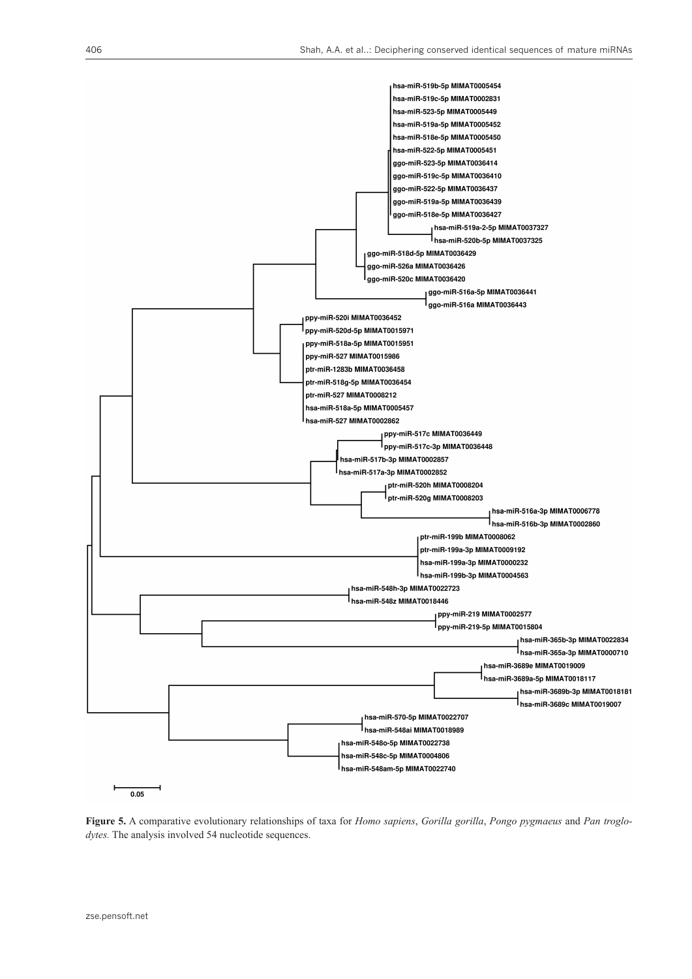

**Figure 5.** A comparative evolutionary relationships of taxa for *Homo sapiens*, *Gorilla gorilla*, *Pongo pygmaeus* and *Pan troglodytes.* The analysis involved 54 nucleotide sequences.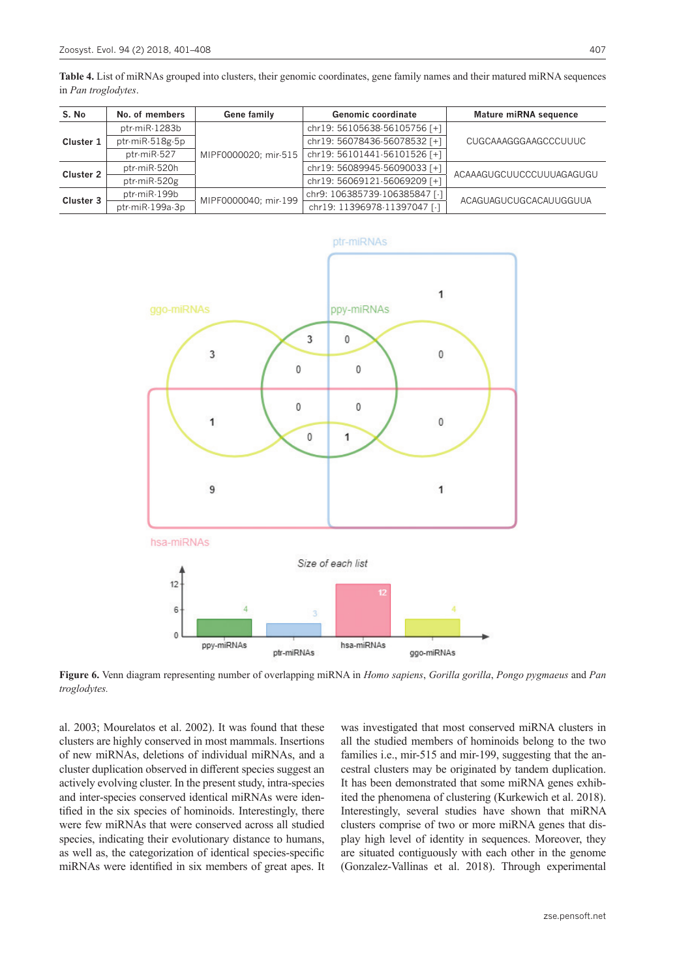**Table 4.** List of miRNAs grouped into clusters, their genomic coordinates, gene family names and their matured miRNA sequences in *Pan troglodytes*.

| S. No            | No. of members  | Gene family          | <b>Genomic coordinate</b>     | <b>Mature miRNA sequence</b> |
|------------------|-----------------|----------------------|-------------------------------|------------------------------|
| Cluster 1        | ptr-miR-1283b   | MIPF0000020; mir-515 | chr19: 56105638-56105756 [+]  | <b>CUGCAAAGGGAAGCCCUUUC</b>  |
|                  | ptr-miR-518g-5p |                      | chr19: 56078436-56078532 [+]  |                              |
|                  | ptr-miR-527     |                      | chr19: 56101441-56101526 [+]  |                              |
| <b>Cluster 2</b> | ptr-miR-520h    |                      | chr19: 56089945-56090033 [+]  | ACAAAGUGCUUCCCUUUAGAGUGU     |
|                  | ptr-miR-520g    |                      | chr19: 56069121-56069209 [+]  |                              |
| Cluster 3        | ptr-miR-199b    | MIPF0000040; mir-199 | chr9: 106385739-106385847 [-] | ACAGUAGUCUGCACAUUGGUUA       |
|                  | ptr-miR-199a-3p |                      | chr19: 11396978-11397047 [-]  |                              |



**Figure 6.** Venn diagram representing number of overlapping miRNA in *Homo sapiens*, *Gorilla gorilla*, *Pongo pygmaeus* and *Pan troglodytes.*

al. 2003; Mourelatos et al. 2002). It was found that these clusters are highly conserved in most mammals. Insertions of new miRNAs, deletions of individual miRNAs, and a cluster duplication observed in different species suggest an actively evolving cluster. In the present study, intra-species and inter-species conserved identical miRNAs were identified in the six species of hominoids. Interestingly, there were few miRNAs that were conserved across all studied species, indicating their evolutionary distance to humans, as well as, the categorization of identical species-specific miRNAs were identified in six members of great apes. It

was investigated that most conserved miRNA clusters in all the studied members of hominoids belong to the two families i.e., mir-515 and mir-199, suggesting that the ancestral clusters may be originated by tandem duplication. It has been demonstrated that some miRNA genes exhibited the phenomena of clustering (Kurkewich et al. 2018). Interestingly, several studies have shown that miRNA clusters comprise of two or more miRNA genes that display high level of identity in sequences. Moreover, they are situated contiguously with each other in the genome (Gonzalez-Vallinas et al. 2018). Through experimental